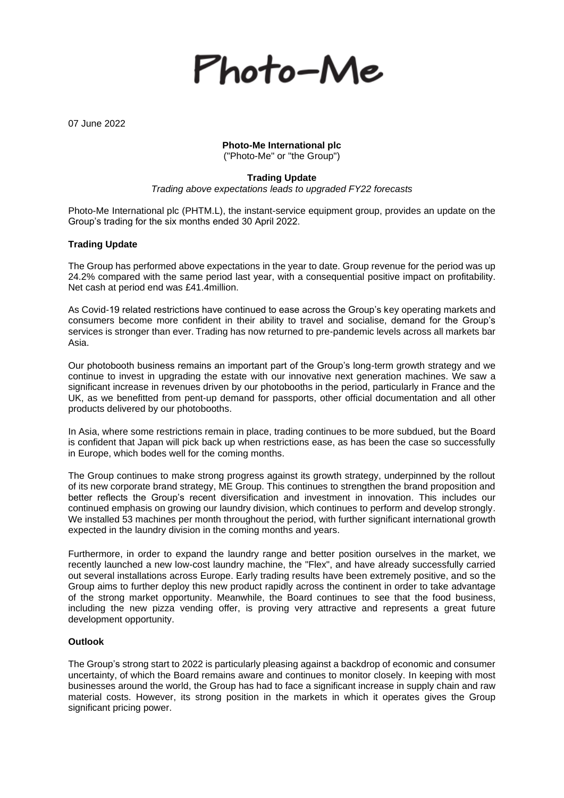

07 June 2022

# **Photo-Me International plc**

("Photo-Me" or "the Group")

## **Trading Update**

*Trading above expectations leads to upgraded FY22 forecasts*

Photo-Me International plc (PHTM.L), the instant-service equipment group, provides an update on the Group's trading for the six months ended 30 April 2022.

### **Trading Update**

The Group has performed above expectations in the year to date. Group revenue for the period was up 24.2% compared with the same period last year, with a consequential positive impact on profitability. Net cash at period end was £41.4million.

As Covid-19 related restrictions have continued to ease across the Group's key operating markets and consumers become more confident in their ability to travel and socialise, demand for the Group's services is stronger than ever. Trading has now returned to pre-pandemic levels across all markets bar Asia.

Our photobooth business remains an important part of the Group's long-term growth strategy and we continue to invest in upgrading the estate with our innovative next generation machines. We saw a significant increase in revenues driven by our photobooths in the period, particularly in France and the UK, as we benefitted from pent-up demand for passports, other official documentation and all other products delivered by our photobooths.

In Asia, where some restrictions remain in place, trading continues to be more subdued, but the Board is confident that Japan will pick back up when restrictions ease, as has been the case so successfully in Europe, which bodes well for the coming months.

The Group continues to make strong progress against its growth strategy, underpinned by the rollout of its new corporate brand strategy, ME Group. This continues to strengthen the brand proposition and better reflects the Group's recent diversification and investment in innovation. This includes our continued emphasis on growing our laundry division, which continues to perform and develop strongly. We installed 53 machines per month throughout the period, with further significant international growth expected in the laundry division in the coming months and years.

Furthermore, in order to expand the laundry range and better position ourselves in the market, we recently launched a new low-cost laundry machine, the "Flex", and have already successfully carried out several installations across Europe. Early trading results have been extremely positive, and so the Group aims to further deploy this new product rapidly across the continent in order to take advantage of the strong market opportunity. Meanwhile, the Board continues to see that the food business, including the new pizza vending offer, is proving very attractive and represents a great future development opportunity.

### **Outlook**

The Group's strong start to 2022 is particularly pleasing against a backdrop of economic and consumer uncertainty, of which the Board remains aware and continues to monitor closely. In keeping with most businesses around the world, the Group has had to face a significant increase in supply chain and raw material costs. However, its strong position in the markets in which it operates gives the Group significant pricing power.